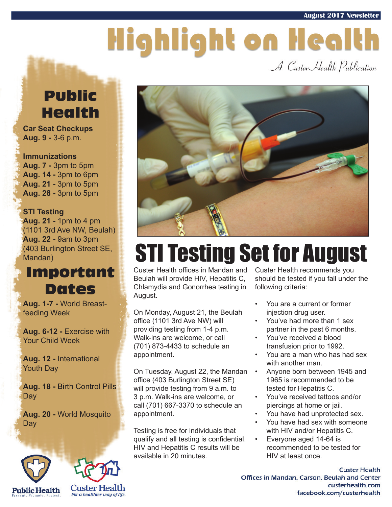# Highlight on Health

A Custer Health Publication

#### Public Health

**Car Seat Checkups Aug. 9 -** 3-6 p.m.

**Immunizations Aug. 7 -** 3pm to 5pm **Aug. 14 -** 3pm to 6pm **Aug. 21 -** 3pm to 5pm **Aug. 28 -** 3pm to 5pm

#### **STI Testing**

**Aug. 21 -** 1pm to 4 pm (1101 3rd Ave NW, Beulah) **Aug. 22 -** 9am to 3pm (403 Burlington Street SE, Mandan)

#### Important Dates

**Aug. 1-7 -** World Breastfeeding Week

**Aug. 6-12 -** Exercise with Your Child Week

**Aug. 12 -** International Youth Day

**Aug. 18 -** Birth Control Pills **Day** 

**Aug. 20 -** World Mosquito Day







## STI Testing Set for August

Custer Health offices in Mandan and Beulah will provide HIV, Hepatitis C, Chlamydia and Gonorrhea testing in August.

On Monday, August 21, the Beulah office (1101 3rd Ave NW) will providing testing from 1-4 p.m. Walk-ins are welcome, or call (701) 873-4433 to schedule an appointment.

On Tuesday, August 22, the Mandan office (403 Burlington Street SE) will provide testing from 9 a.m. to 3 p.m. Walk-ins are welcome, or call (701) 667-3370 to schedule an appointment.

Testing is free for individuals that qualify and all testing is confidential. HIV and Hepatitis C results will be available in 20 minutes.

Custer Health recommends you should be tested if you fall under the following criteria:

- You are a current or former injection drug user.
- You've had more than 1 sex partner in the past 6 months.
- You've received a blood transfusion prior to 1992.
- You are a man who has had sex with another man.
- Anyone born between 1945 and 1965 is recommended to be tested for Hepatitis C.
- You've received tattoos and/or piercings at home or jail.
- You have had unprotected sex.
- You have had sex with someone with HIV and/or Hepatitis C.
- Everyone aged 14-64 is recommended to be tested for HIV at least once.

**Custer Health** Offices in Mandan, Carson, Beulah and Center custerhealth.com facebook.com/custerhealth